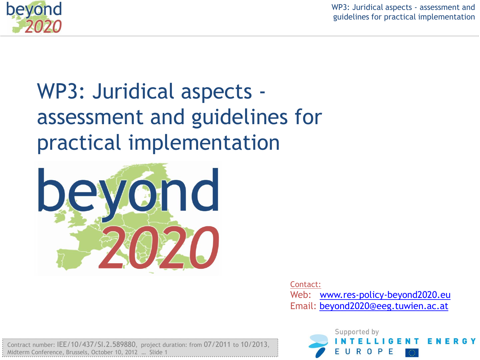

WP3: Juridical aspects - assessment and guidelines for practical implementation

# WP3: Juridical aspects assessment and guidelines for practical implementation



Contact: Web: [www.res-policy-beyond2020.eu](http://www.res-policy-beyond2020.eu/) Email: [beyond2020@eeg.tuwien.ac.at](mailto:beyond2020@eeg.tuwien.ac.at)

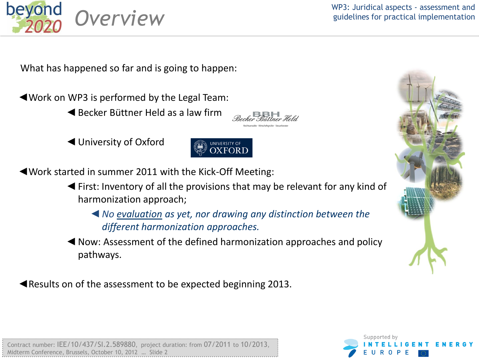

Contract number: **IEE** Midterm Conference, Brussel

WP3: Juridical aspects - assessment and **OVIEW** guidelines for practical implementation

What has happened so far and is going to happen:

◄Work on WP3 is performed by the Legal Team:

- ◄Becker Büttner Held as a law firm
- ◄University of Oxford



◄Work started in summer 2011 with the Kick-Off Meeting:

- ◄First: Inventory of all the provisions that may be relevant for any kind of harmonization approach;
	- ◄*No evaluation as yet, nor drawing any distinction between the different harmonization approaches.*
- ◄Now: Assessment of the defined harmonization approaches and policy pathways.

◄Results on of the assessment to be expected beginning 2013.



| 37/SI.2.589880, project duration: from 07/2011 to 10/2013, |  |
|------------------------------------------------------------|--|
|                                                            |  |
| s. October 10. 2012  Slide 2                               |  |
|                                                            |  |

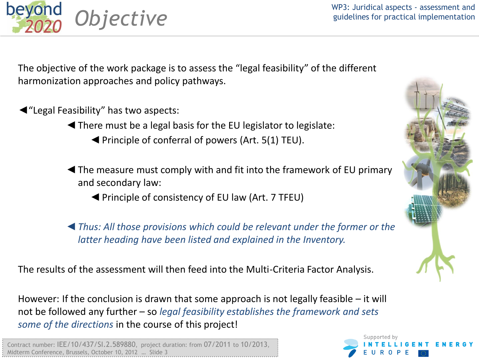WP3: Juridical aspects - assessment and **Djective WP3: Suridical aspects** - assessment and guidelines for practical implementation

The objective of the work package is to assess the "legal feasibility" of the different harmonization approaches and policy pathways.

◄"Legal Feasibility" has two aspects:

beyond

◄There must be a legal basis for the EU legislator to legislate:

- ◄Principle of conferral of powers (Art. 5(1) TEU).
- ◄The measure must comply with and fit into the framework of EU primary and secondary law:
	- ◄Principle of consistency of EU law (Art. 7 TFEU)

◄*Thus: All those provisions which could be relevant under the former or the latter heading have been listed and explained in the Inventory.*

The results of the assessment will then feed into the Multi-Criteria Factor Analysis.

However: If the conclusion is drawn that some approach is not legally feasible – it will not be followed any further – so *legal feasibility establishes the framework and sets some of the directions* in the course of this project!

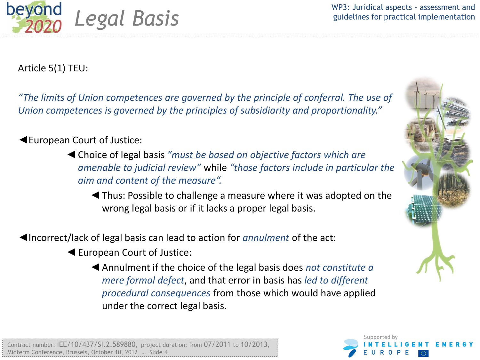

Article 5(1) TEU:

*"The limits of Union competences are governed by the principle of conferral. The use of Union competences is governed by the principles of subsidiarity and proportionality."*

#### ◄European Court of Justice:

◄Choice of legal basis *"must be based on objective factors which are amenable to judicial review"* while *"those factors include in particular the aim and content of the measure".*

◄Thus: Possible to challenge a measure where it was adopted on the wrong legal basis or if it lacks a proper legal basis.

◄Incorrect/lack of legal basis can lead to action for *annulment* of the act:

◄European Court of Justice:

◄Annulment if the choice of the legal basis does *not constitute a mere formal defect*, and that error in basis has *led to different procedural consequences* from those which would have applied under the correct legal basis.



Supported by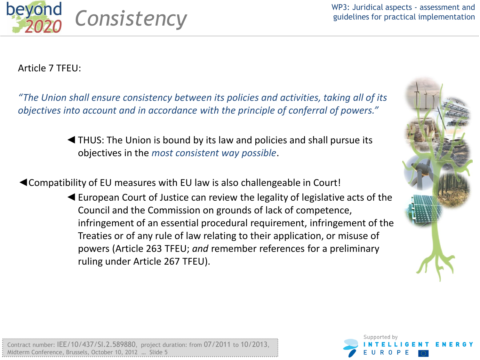

Article 7 TFEU:

*"The Union shall ensure consistency between its policies and activities, taking all of its objectives into account and in accordance with the principle of conferral of powers."*

> ◄THUS: The Union is bound by its law and policies and shall pursue its objectives in the *most consistent way possible*.

◄Compatibility of EU measures with EU law is also challengeable in Court!

◄European Court of Justice can review the legality of legislative acts of the Council and the Commission on grounds of lack of competence, infringement of an essential procedural requirement, infringement of the Treaties or of any rule of law relating to their application, or misuse of powers (Article 263 TFEU; *and* remember references for a preliminary ruling under Article 267 TFEU).



|                                                          | Contract number: $IEE/10/437/51.2.589880$ , project duration: from 07/2011 to 10/2013, |
|----------------------------------------------------------|----------------------------------------------------------------------------------------|
| Midterm Conference. Brussels. October 10. 2012 … Slide 5 |                                                                                        |

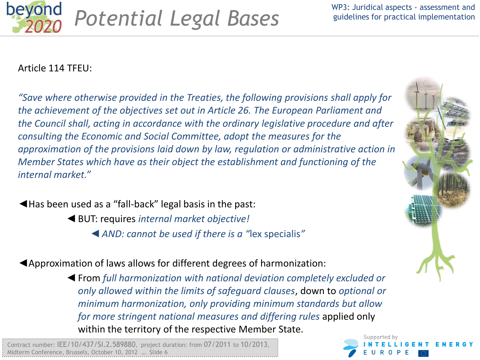



#### Article 114 TFEU:

*"Save where otherwise provided in the Treaties, the following provisions shall apply for the achievement of the objectives set out in Article 26. The European Parliament and the Council shall, acting in accordance with the ordinary legislative procedure and after consulting the Economic and Social Committee, adopt the measures for the approximation of the provisions laid down by law, regulation or administrative action in Member States which have as their object the establishment and functioning of the internal market."*

◄Has been used as a "fall-back" legal basis in the past:

- ◄BUT: requires *internal market objective!*
	- ◄*AND: cannot be used if there is a "*lex specialis*"*

◄Approximation of laws allows for different degrees of harmonization:

◄From *full harmonization with national deviation completely excluded or only allowed within the limits of safeguard clauses*, down to *optional or minimum harmonization, only providing minimum standards but allow for more stringent national measures and differing rules* applied only within the territory of the respective Member State.

Contract number: IEE/10/437/SI.2.589880, project duration: from 07/2011 to 10/2013, Midterm Conference, Brussels, October 10, 2012 … Slide 6



Supported by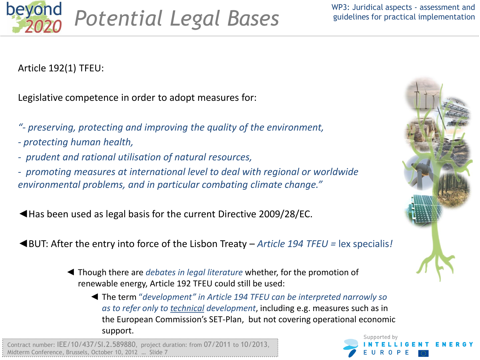

Article 192(1) TFEU:

Legislative competence in order to adopt measures for:

- *"- preserving, protecting and improving the quality of the environment,*
- *- protecting human health,*
- *prudent and rational utilisation of natural resources,*
- *promoting measures at international level to deal with regional or worldwide environmental problems, and in particular combating climate change."*
- ◄Has been used as legal basis for the current Directive 2009/28/EC.
- ◄BUT: After the entry into force of the Lisbon Treaty *Article 194 TFEU =* lex specialis*!*
	- ◄ Though there are *debates in legal literature* whether, for the promotion of renewable energy, Article 192 TFEU could still be used:
		- ◄ The term "*development" in Article 194 TFEU can be interpreted narrowly so as to refer only to technical development*, including e.g. measures such as in the European Commission's SET-Plan, but not covering operational economic support.

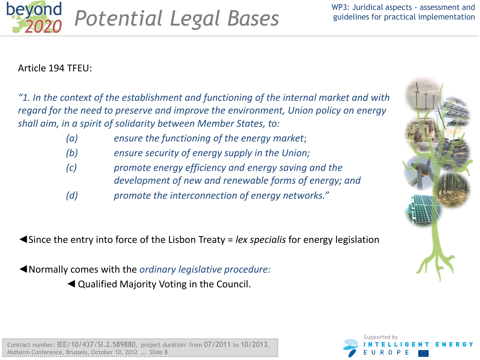

#### Article 194 TFEU:

*"1. In the context of the establishment and functioning of the internal market and with regard for the need to preserve and improve the environment, Union policy on energy shall aim, in a spirit of solidarity between Member States, to:*

- *(a) ensure the functioning of the energy market*;
- *(b) ensure security of energy supply in the Union;*
- *(c) promote energy efficiency and energy saving and the development of new and renewable forms of energy; and*
- *(d) promote the interconnection of energy networks."*

◄Since the entry into force of the Lisbon Treaty = *lex specialis* for energy legislation

◄Normally comes with the *ordinary legislative procedure:*

◄Qualified Majority Voting in the Council.



|                                                         | Contract number: IEE/10/437/SI.2.589880, project duration: from 07/2011 to 10/2013, |
|---------------------------------------------------------|-------------------------------------------------------------------------------------|
| Midterm Conference, Brussels, October 10, 2012  Slide 8 |                                                                                     |
|                                                         |                                                                                     |

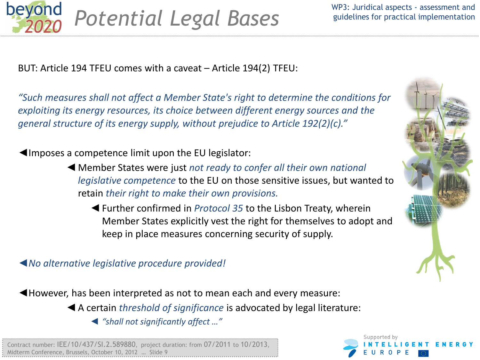

BUT: Article 194 TFEU comes with a caveat – Article 194(2) TFEU:

*"Such measures shall not affect a Member State's right to determine the conditions for exploiting its energy resources, its choice between different energy sources and the general structure of its energy supply, without prejudice to Article 192(2)(c)."*

◄Imposes a competence limit upon the EU legislator:

- ◄Member States were just *not ready to confer all their own national legislative competence* to the EU on those sensitive issues, but wanted to retain *their right to make their own provisions.*
	- ◄Further confirmed in *Protocol 35* to the Lisbon Treaty, wherein Member States explicitly vest the right for themselves to adopt and keep in place measures concerning security of supply.

◄*No alternative legislative procedure provided!*

◄However, has been interpreted as not to mean each and every measure:

◄A certain *threshold of significance* is advocated by legal literature:

◄ *"shall not significantly affect …"*



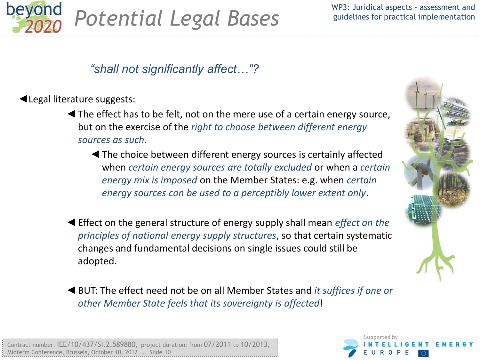

## beyond **Potential Legal Bases** *Potential Legal Bases*

## *"shall not significantly affect…"?*

#### ◄Legal literature suggests:

- ◄The effect has to be felt, not on the mere use of a certain energy source, but on the exercise of the *right to choose between different energy sources as such*.
	- ◄The choice between different energy sources is certainly affected when *certain energy sources are totally excluded* or when a *certain energy mix is imposed* on the Member States: e.g. when *certain energy sources can be used to a perceptibly lower extent only*.
- ◄Effect on the general structure of energy supply shall mean *effect on the principles of national energy supply structures*, so that certain systematic changes and fundamental decisions on single issues could still be adopted.
- ◄BUT: The effect need not be on all Member States and *it suffices if one or other Member State feels that its sovereignty is affected*!



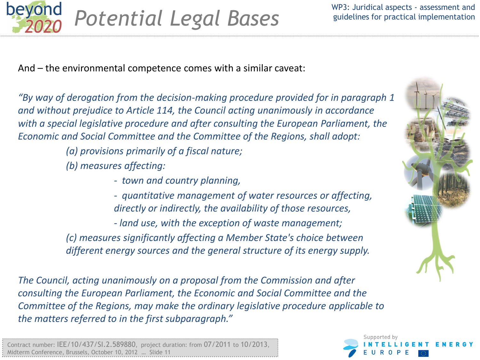

And – the environmental competence comes with a similar caveat:

*"By way of derogation from the decision-making procedure provided for in paragraph 1 and without prejudice to Article 114, the Council acting unanimously in accordance with a special legislative procedure and after consulting the European Parliament, the Economic and Social Committee and the Committee of the Regions, shall adopt:*

*(a) provisions primarily of a fiscal nature;*

*(b) measures affecting:*

*- town and country planning,*

*- quantitative management of water resources or affecting, directly or indirectly, the availability of those resources,*

*- land use, with the exception of waste management; (c) measures significantly affecting a Member State's choice between different energy sources and the general structure of its energy supply.*

*The Council, acting unanimously on a proposal from the Commission and after consulting the European Parliament, the Economic and Social Committee and the Committee of the Regions, may make the ordinary legislative procedure applicable to the matters referred to in the first subparagraph."*



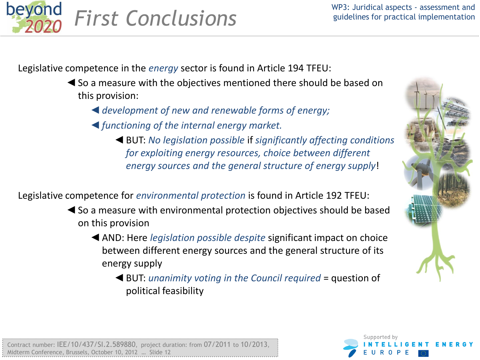

Legislative competence in the *energy* sector is found in Article 194 TFEU:

- ◄So a measure with the objectives mentioned there should be based on this provision:
	- ◄*development of new and renewable forms of energy;*
	- ◄*functioning of the internal energy market.*
		- ◄BUT: *No legislation possible* if *significantly affecting conditions for exploiting energy resources, choice between different energy sources and the general structure of energy supply*!

Legislative competence for *environmental protection* is found in Article 192 TFEU:

- ◄So a measure with environmental protection objectives should be based on this provision
	- ◄AND: Here *legislation possible despite* significant impact on choice between different energy sources and the general structure of its energy supply
		- ◄BUT: *unanimity voting in the Council required* = question of political feasibility



| Contract number: IEE/10/437/SI.2.589880, project duration: from 07/2011 to 10/2013, |  |
|-------------------------------------------------------------------------------------|--|
|                                                                                     |  |
| Midterm Conference, Brussels, October 10, 2012  Slide 12                            |  |
|                                                                                     |  |
|                                                                                     |  |

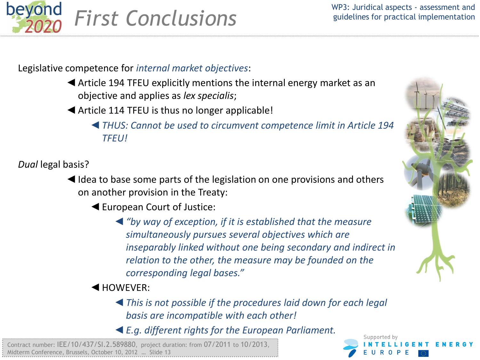

#### Legislative competence for *internal market objectives*:

- ◄Article 194 TFEU explicitly mentions the internal energy market as an objective and applies as *lex specialis*;
- ◄Article 114 TFEU is thus no longer applicable!
	- ◄*THUS: Cannot be used to circumvent competence limit in Article 194 TFEU!*

*Dual* legal basis?

- ◄Idea to base some parts of the legislation on one provisions and others on another provision in the Treaty:
	- ◄European Court of Justice:
		- ◄*"by way of exception, if it is established that the measure simultaneously pursues several objectives which are inseparably linked without one being secondary and indirect in relation to the other, the measure may be founded on the corresponding legal bases."*
	- ◄HOWEVER:
		- ◄*This is not possible if the procedures laid down for each legal basis are incompatible with each other!*
		- ◄*E.g. different rights for the European Parliament.*



Supported by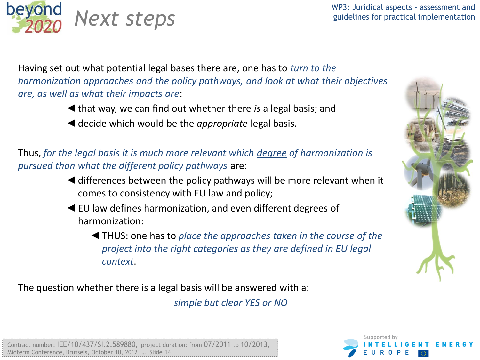WP3: Juridical aspects - assessment and Next steps<br>
guidelines for practical implementation

Having set out what potential legal bases there are, one has to *turn to the harmonization approaches and the policy pathways, and look at what their objectives are, as well as what their impacts are*:

- ◄that way, we can find out whether there *is* a legal basis; and
- ◄decide which would be the *appropriate* legal basis.

beyond

Thus, *for the legal basis it is much more relevant which degree of harmonization is pursued than what the different policy pathways* are:

- ◄differences between the policy pathways will be more relevant when it comes to consistency with EU law and policy;
- ◄EU law defines harmonization, and even different degrees of harmonization:

◄THUS: one has to *place the approaches taken in the course of the project into the right categories as they are defined in EU legal context*.

The question whether there is a legal basis will be answered with a:

*simple but clear YES or NO*



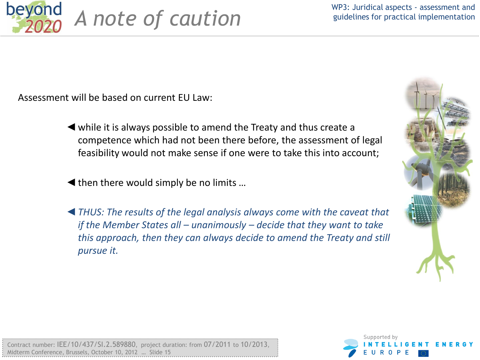

Assessment will be based on current EU Law:

- ◄while it is always possible to amend the Treaty and thus create a competence which had not been there before, the assessment of legal feasibility would not make sense if one were to take this into account;
- ◄then there would simply be no limits …
- ◄*THUS: The results of the legal analysis always come with the caveat that if the Member States all – unanimously – decide that they want to take this approach, then they can always decide to amend the Treaty and still pursue it.*



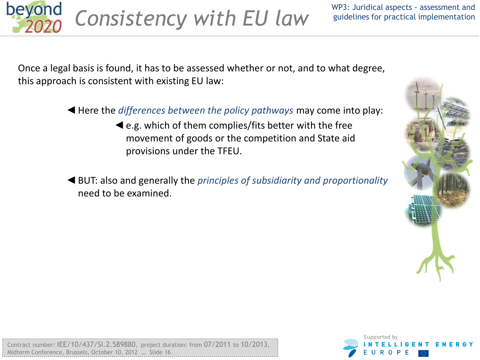

Once a legal basis is found, it has to be assessed whether or not, and to what degree, this approach is consistent with existing EU law:

- ◄Here the *differences between the policy pathways* may come into play:
	- ◄e.g. which of them complies/fits better with the free movement of goods or the competition and State aid provisions under the TFEU.
- ◄BUT: also and generally the *principles of subsidiarity and proportionality* need to be examined.



| Contract number: IEE/10/437/SI.2.589880, project duration: from 07/2011 to 10/2013, |  |
|-------------------------------------------------------------------------------------|--|
|                                                                                     |  |
|                                                                                     |  |
| Midterm Conference.Brussels.October 10.2012  Slide 16                               |  |
|                                                                                     |  |

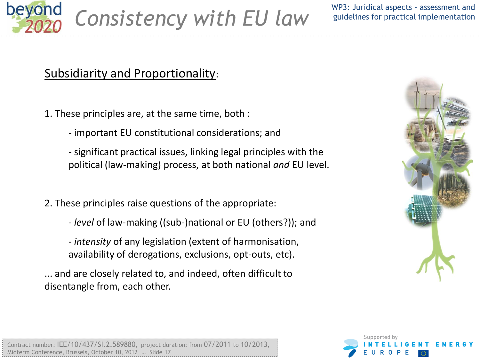

## Subsidiarity and Proportionality:

1. These principles are, at the same time, both :

- important EU constitutional considerations; and

- significant practical issues, linking legal principles with the political (law-making) process, at both national *and* EU level.

- 2. These principles raise questions of the appropriate:
	- *level* of law-making ((sub-)national or EU (others?)); and

- *intensity* of any legislation (extent of harmonisation, availability of derogations, exclusions, opt-outs, etc).

... and are closely related to, and indeed, often difficult to disentangle from, each other.





|                                                          | Contract number: IEE/10/437/SI.2.589880, project duration: from 07/2011 to 10/2013, |
|----------------------------------------------------------|-------------------------------------------------------------------------------------|
| Midterm Conference, Brussels, October 10, 2012  Slide 17 |                                                                                     |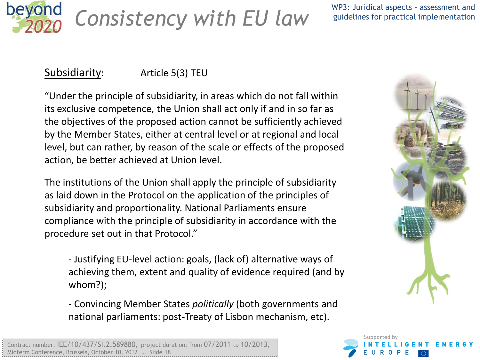

Consistency with EU law WP3: Juridical aspects - assessment and *guidelines for practical implementation* 

## Subsidiarity: Article 5(3) TEU

"Under the principle of subsidiarity, in areas which do not fall within its exclusive competence, the Union shall act only if and in so far as the objectives of the proposed action cannot be sufficiently achieved by the Member States, either at central level or at regional and local level, but can rather, by reason of the scale or effects of the proposed action, be better achieved at Union level.

The institutions of the Union shall apply the principle of subsidiarity as laid down in the Protocol on the application of the principles of subsidiarity and proportionality. National Parliaments ensure compliance with the principle of subsidiarity in accordance with the procedure set out in that Protocol."

- Justifying EU-level action: goals, (lack of) alternative ways of achieving them, extent and quality of evidence required (and by whom?);

- Convincing Member States *politically* (both governments and national parliaments: post-Treaty of Lisbon mechanism, etc).



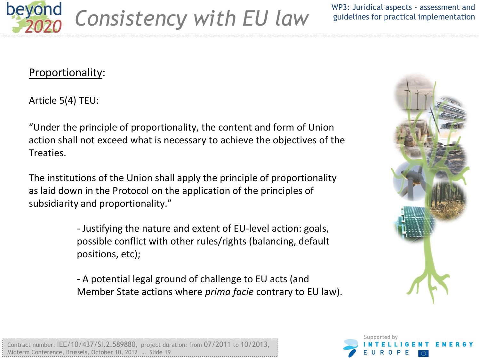

*Consistency with EU law*

WP3: Juridical aspects - assessment and guidelines for practical implementation

#### Proportionality:

Article 5(4) TEU:

"Under the principle of proportionality, the content and form of Union action shall not exceed what is necessary to achieve the objectives of the Treaties.

The institutions of the Union shall apply the principle of proportionality as laid down in the Protocol on the application of the principles of subsidiarity and proportionality."

> - Justifying the nature and extent of EU-level action: goals, possible conflict with other rules/rights (balancing, default positions, etc);

- A potential legal ground of challenge to EU acts (and Member State actions where *prima facie* contrary to EU law).



|                                                          | Contract number: IEE/10/437/SI.2.589880, project duration: from 07/2011 to 10/2013, |
|----------------------------------------------------------|-------------------------------------------------------------------------------------|
| Midterm Conference, Brussels, October 10, 2012  Slide 19 |                                                                                     |

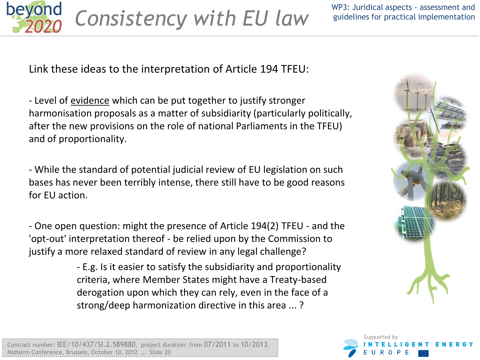

WP3: Juridical aspects - assessment and guidelines for practical implementation

Link these ideas to the interpretation of Article 194 TFEU:

- Level of evidence which can be put together to justify stronger harmonisation proposals as a matter of subsidiarity (particularly politically, after the new provisions on the role of national Parliaments in the TFEU) and of proportionality.

- While the standard of potential judicial review of EU legislation on such bases has never been terribly intense, there still have to be good reasons for EU action.

- One open question: might the presence of Article 194(2) TFEU - and the 'opt-out' interpretation thereof - be relied upon by the Commission to justify a more relaxed standard of review in any legal challenge?

> - E.g. Is it easier to satisfy the subsidiarity and proportionality criteria, where Member States might have a Treaty-based derogation upon which they can rely, even in the face of a strong/deep harmonization directive in this area ... ?